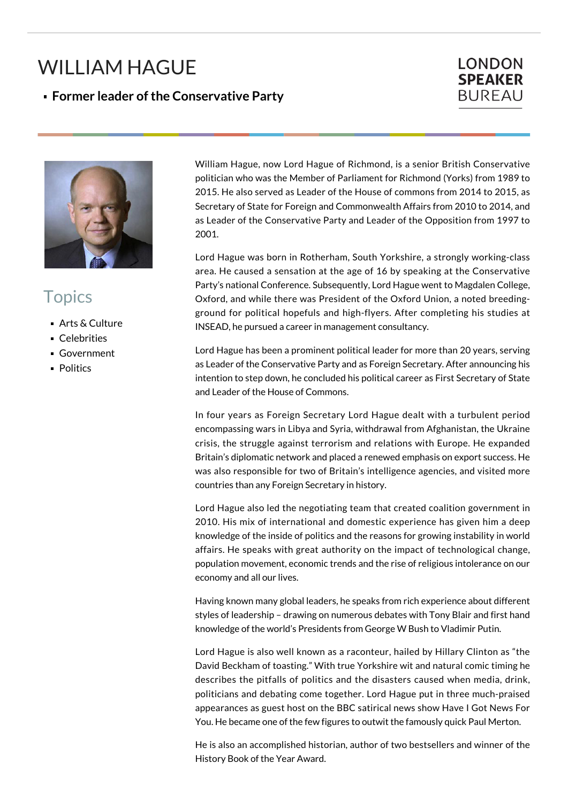## WILLIAM HAGUE

**Former leader of the Conservative Party**





## **Topics**

- Arts & Culture
- **Celebrities**
- Government
- **Politics**

William Hague, now Lord Hague of Richmond, is a senior British Conservative politician who was the Member of Parliament for Richmond (Yorks) from 1989 to 2015. He also served as Leader of the House of commons from 2014 to 2015, as Secretary of State for Foreign and Commonwealth Affairs from 2010 to 2014, and as Leader of the Conservative Party and Leader of the Opposition from 1997 to 2001.

Lord Hague was born in Rotherham, South Yorkshire, a strongly working-class area. He caused a sensation at the age of 16 by speaking at the Conservative Party's national Conference. Subsequently, Lord Hague went to Magdalen College, Oxford, and while there was President of the Oxford Union, a noted breedingground for political hopefuls and high-flyers. After completing his studies at INSEAD, he pursued a career in management consultancy.

Lord Hague has been a prominent political leader for more than 20 years, serving as Leader of the Conservative Party and as Foreign Secretary. After announcing his intention to step down, he concluded his political career as First Secretary of State and Leader of the House of Commons.

In four years as Foreign Secretary Lord Hague dealt with a turbulent period encompassing wars in Libya and Syria, withdrawal from Afghanistan, the Ukraine crisis, the struggle against terrorism and relations with Europe. He expanded Britain's diplomatic network and placed a renewed emphasis on export success. He was also responsible for two of Britain's intelligence agencies, and visited more countries than any Foreign Secretary in history.

Lord Hague also led the negotiating team that created coalition government in 2010. His mix of international and domestic experience has given him a deep knowledge of the inside of politics and the reasons for growing instability in world affairs. He speaks with great authority on the impact of technological change, population movement, economic trends and the rise of religious intolerance on our economy and all our lives.

Having known many global leaders, he speaks from rich experience about different styles of leadership – drawing on numerous debates with Tony Blair and first hand knowledge of the world's Presidents from George W Bush to Vladimir Putin.

Lord Hague is also well known as a raconteur, hailed by Hillary Clinton as "the David Beckham of toasting." With true Yorkshire wit and natural comic timing he describes the pitfalls of politics and the disasters caused when media, drink, politicians and debating come together. Lord Hague put in three much-praised appearances as guest host on the BBC satirical news show Have I Got News For You. He became one of the few figures to outwit the famously quick Paul Merton.

He is also an accomplished historian, author of two bestsellers and winner of the History Book of the Year Award.